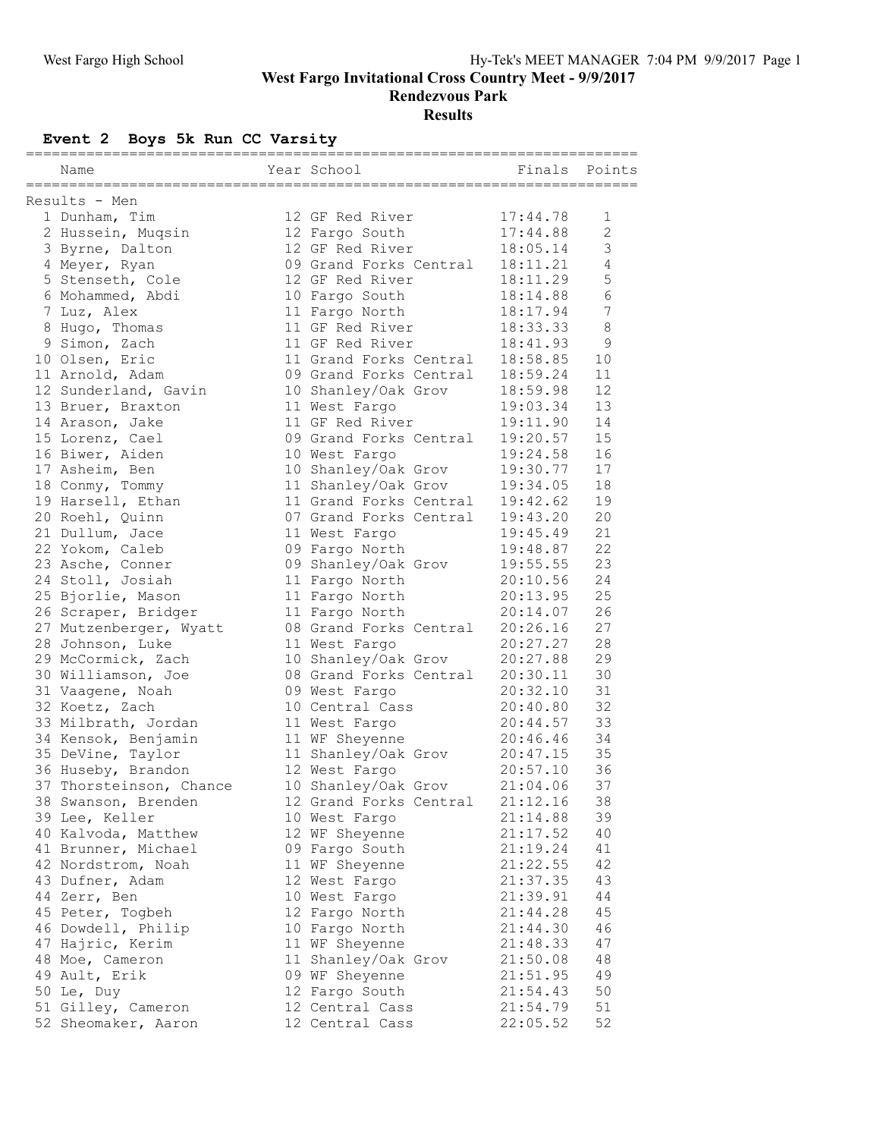**West Fargo Invitational Cross Country Meet - 9/9/2017**

**Rendezvous Park**

# **Results**

# **Event 2 Boys 5k Run CC Varsity**

|  | Name                    |  | Year School            |          | Finals Points  |  |  |  |  |
|--|-------------------------|--|------------------------|----------|----------------|--|--|--|--|
|  | Results - Men           |  |                        |          | =========      |  |  |  |  |
|  | 1 Dunham, Tim           |  | 12 GF Red River        | 17:44.78 | 1              |  |  |  |  |
|  | 2 Hussein, Muqsin       |  | 12 Fargo South         | 17:44.88 | $\overline{c}$ |  |  |  |  |
|  | 3 Byrne, Dalton         |  | 12 GF Red River        | 18:05.14 | $\mathfrak{Z}$ |  |  |  |  |
|  | 4 Meyer, Ryan           |  | 09 Grand Forks Central | 18:11.21 | $\overline{4}$ |  |  |  |  |
|  | 5 Stenseth, Cole        |  | 12 GF Red River        | 18:11.29 | 5              |  |  |  |  |
|  | 6 Mohammed, Abdi        |  | 10 Fargo South         | 18:14.88 | 6              |  |  |  |  |
|  | 7 Luz, Alex             |  | 11 Fargo North         | 18:17.94 | 7              |  |  |  |  |
|  | 8 Hugo, Thomas          |  | 11 GF Red River        | 18:33.33 | $\,8\,$        |  |  |  |  |
|  | 9 Simon, Zach           |  | 11 GF Red River        | 18:41.93 | 9              |  |  |  |  |
|  | 10 Olsen, Eric          |  | 11 Grand Forks Central | 18:58.85 | 10             |  |  |  |  |
|  | 11 Arnold, Adam         |  | 09 Grand Forks Central | 18:59.24 | 11             |  |  |  |  |
|  | 12 Sunderland, Gavin    |  | 10 Shanley/Oak Grov    | 18:59.98 | 12             |  |  |  |  |
|  | 13 Bruer, Braxton       |  | 11 West Fargo          | 19:03.34 | 13             |  |  |  |  |
|  | 14 Arason, Jake         |  | 11 GF Red River        | 19:11.90 | 14             |  |  |  |  |
|  | 15 Lorenz, Cael         |  | 09 Grand Forks Central | 19:20.57 | 15             |  |  |  |  |
|  | 16 Biwer, Aiden         |  | 10 West Fargo          | 19:24.58 | 16             |  |  |  |  |
|  | 17 Asheim, Ben          |  | 10 Shanley/Oak Grov    | 19:30.77 | 17             |  |  |  |  |
|  | 18 Conmy, Tommy         |  | 11 Shanley/Oak Grov    | 19:34.05 | 18             |  |  |  |  |
|  | 19 Harsell, Ethan       |  | 11 Grand Forks Central | 19:42.62 | 19             |  |  |  |  |
|  | 20 Roehl, Quinn         |  | 07 Grand Forks Central | 19:43.20 | 20             |  |  |  |  |
|  | 21 Dullum, Jace         |  | 11 West Fargo          | 19:45.49 | 21             |  |  |  |  |
|  | 22 Yokom, Caleb         |  | 09 Fargo North         | 19:48.87 | 22             |  |  |  |  |
|  | 23 Asche, Conner        |  | 09 Shanley/Oak Grov    | 19:55.55 | 23             |  |  |  |  |
|  | 24 Stoll, Josiah        |  | 11 Fargo North         | 20:10.56 | 24             |  |  |  |  |
|  | 25 Bjorlie, Mason       |  | 11 Fargo North         | 20:13.95 | 25             |  |  |  |  |
|  | 26 Scraper, Bridger     |  | 11 Fargo North         | 20:14.07 | 26             |  |  |  |  |
|  | 27 Mutzenberger, Wyatt  |  | 08 Grand Forks Central | 20:26.16 | 27             |  |  |  |  |
|  | 28 Johnson, Luke        |  | 11 West Fargo          | 20:27.27 | 28             |  |  |  |  |
|  | 29 McCormick, Zach      |  | 10 Shanley/Oak Grov    | 20:27.88 | 29             |  |  |  |  |
|  | 30 Williamson, Joe      |  | 08 Grand Forks Central | 20:30.11 | 30             |  |  |  |  |
|  | 31 Vaagene, Noah        |  | 09 West Fargo          | 20:32.10 | 31             |  |  |  |  |
|  | 32 Koetz, Zach          |  | 10 Central Cass        | 20:40.80 | 32             |  |  |  |  |
|  | 33 Milbrath, Jordan     |  | 11 West Fargo          | 20:44.57 | 33             |  |  |  |  |
|  | 34 Kensok, Benjamin     |  | 11 WF Sheyenne         | 20:46.46 | 34             |  |  |  |  |
|  | 35 DeVine, Taylor       |  | 11 Shanley/Oak Grov    | 20:47.15 | 35             |  |  |  |  |
|  | 36 Huseby, Brandon      |  | 12 West Fargo          | 20:57.10 | 36             |  |  |  |  |
|  | 37 Thorsteinson, Chance |  | 10 Shanley/Oak Grov    | 21:04.06 | 37             |  |  |  |  |
|  | 38 Swanson, Brenden     |  | 12 Grand Forks Central | 21:12.16 | 38             |  |  |  |  |
|  | 39 Lee, Keller          |  | 10 West Fargo          | 21:14.88 | 39             |  |  |  |  |
|  | 40 Kalvoda, Matthew     |  | 12 WF Sheyenne         | 21:17.52 | 40             |  |  |  |  |
|  | 41 Brunner, Michael     |  | 09 Fargo South         | 21:19.24 | 41             |  |  |  |  |
|  | 42 Nordstrom, Noah      |  | 11 WF Sheyenne         | 21:22.55 | 42             |  |  |  |  |
|  | 43 Dufner, Adam         |  | 12 West Fargo          | 21:37.35 | 43             |  |  |  |  |
|  | 44 Zerr, Ben            |  | 10 West Fargo          | 21:39.91 | 44             |  |  |  |  |
|  | 45 Peter, Togbeh        |  | 12 Fargo North         | 21:44.28 | 45             |  |  |  |  |
|  | 46 Dowdell, Philip      |  | 10 Fargo North         | 21:44.30 | 46             |  |  |  |  |
|  | 47 Hajric, Kerim        |  | 11 WF Sheyenne         | 21:48.33 | 47             |  |  |  |  |
|  | 48 Moe, Cameron         |  | 11 Shanley/Oak Grov    | 21:50.08 | 48             |  |  |  |  |
|  | 49 Ault, Erik           |  | 09 WF Sheyenne         | 21:51.95 | 49             |  |  |  |  |
|  | 50 Le, Duy              |  | 12 Fargo South         | 21:54.43 | 50             |  |  |  |  |
|  | 51 Gilley, Cameron      |  | 12 Central Cass        | 21:54.79 | 51             |  |  |  |  |
|  | 52 Sheomaker, Aaron     |  | 12 Central Cass        | 22:05.52 | 52             |  |  |  |  |